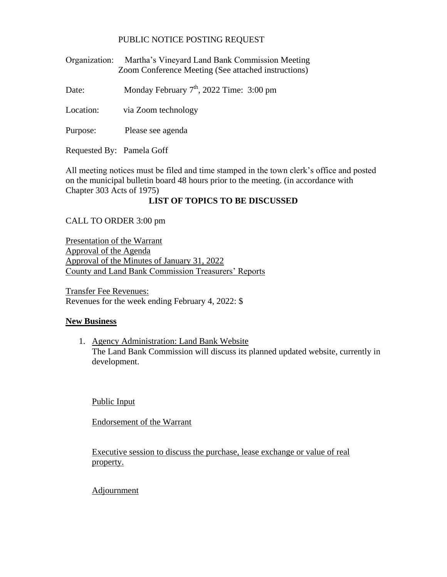## PUBLIC NOTICE POSTING REQUEST

Organization: Martha's Vineyard Land Bank Commission Meeting Zoom Conference Meeting (See attached instructions)

Date: Monday February  $7<sup>th</sup>$ , 2022 Time: 3:00 pm

Location: via Zoom technology

Purpose: Please see agenda

Requested By: Pamela Goff

All meeting notices must be filed and time stamped in the town clerk's office and posted on the municipal bulletin board 48 hours prior to the meeting. (in accordance with Chapter 303 Acts of 1975)

## **LIST OF TOPICS TO BE DISCUSSED**

CALL TO ORDER 3:00 pm

Presentation of the Warrant Approval of the Agenda Approval of the Minutes of January 31, 2022 County and Land Bank Commission Treasurers' Reports

Transfer Fee Revenues: Revenues for the week ending February 4, 2022: \$

## **New Business**

1. Agency Administration: Land Bank Website The Land Bank Commission will discuss its planned updated website, currently in development.

Public Input

Endorsement of the Warrant

Executive session to discuss the purchase, lease exchange or value of real property.

## **Adjournment**